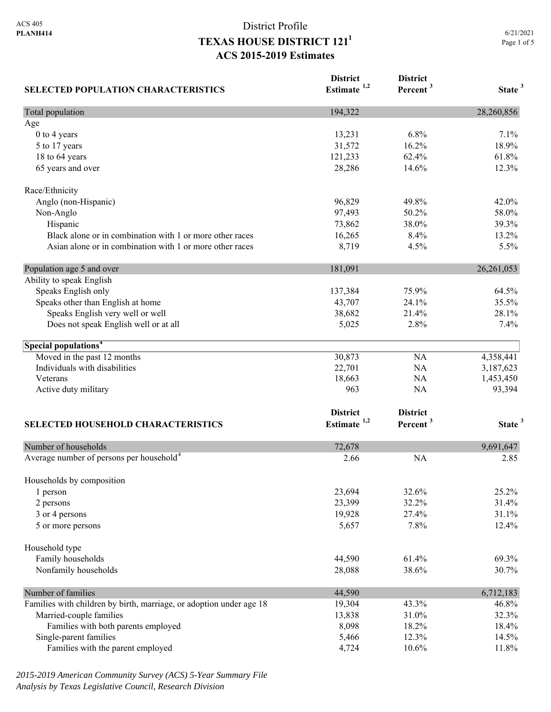| <b>SELECTED POPULATION CHARACTERISTICS</b>                          | <b>District</b><br>Estimate <sup>1,2</sup> | <b>District</b><br>Percent <sup>3</sup> | State <sup>3</sup> |
|---------------------------------------------------------------------|--------------------------------------------|-----------------------------------------|--------------------|
| Total population                                                    | 194,322                                    |                                         | 28,260,856         |
| Age                                                                 |                                            |                                         |                    |
| 0 to 4 years                                                        | 13,231                                     | 6.8%                                    | 7.1%               |
| 5 to 17 years                                                       | 31,572                                     | 16.2%                                   | 18.9%              |
| 18 to 64 years                                                      | 121,233                                    | 62.4%                                   | 61.8%              |
| 65 years and over                                                   | 28,286                                     | 14.6%                                   | 12.3%              |
| Race/Ethnicity                                                      |                                            |                                         |                    |
| Anglo (non-Hispanic)                                                | 96,829                                     | 49.8%                                   | 42.0%              |
| Non-Anglo                                                           | 97,493                                     | 50.2%                                   | 58.0%              |
| Hispanic                                                            | 73,862                                     | 38.0%                                   | 39.3%              |
| Black alone or in combination with 1 or more other races            | 16,265                                     | 8.4%                                    | 13.2%              |
| Asian alone or in combination with 1 or more other races            | 8,719                                      | 4.5%                                    | 5.5%               |
| Population age 5 and over                                           | 181,091                                    |                                         | 26, 261, 053       |
| Ability to speak English                                            |                                            |                                         |                    |
| Speaks English only                                                 | 137,384                                    | 75.9%                                   | 64.5%              |
| Speaks other than English at home                                   | 43,707                                     | 24.1%                                   | 35.5%              |
| Speaks English very well or well                                    | 38,682                                     | 21.4%                                   | 28.1%              |
| Does not speak English well or at all                               | 5,025                                      | 2.8%                                    | 7.4%               |
| Special populations <sup>4</sup>                                    |                                            |                                         |                    |
| Moved in the past 12 months                                         | 30,873                                     | NA                                      | 4,358,441          |
| Individuals with disabilities                                       | 22,701                                     | <b>NA</b>                               | 3,187,623          |
| Veterans                                                            | 18,663                                     | <b>NA</b>                               | 1,453,450          |
| Active duty military                                                | 963                                        | <b>NA</b>                               | 93,394             |
|                                                                     | <b>District</b>                            | <b>District</b>                         |                    |
| <b>SELECTED HOUSEHOLD CHARACTERISTICS</b>                           | Estimate $1,2$                             | Percent <sup>3</sup>                    | State <sup>3</sup> |
| Number of households                                                | 72,678                                     |                                         | 9,691,647          |
| Average number of persons per household <sup>4</sup>                | 2.66                                       | <b>NA</b>                               | 2.85               |
|                                                                     |                                            |                                         |                    |
| Households by composition<br>1 person                               | 23,694                                     | 32.6%                                   | 25.2%              |
| 2 persons                                                           | 23,399                                     | 32.2%                                   | 31.4%              |
| 3 or 4 persons                                                      | 19,928                                     | 27.4%                                   | 31.1%              |
| 5 or more persons                                                   | 5,657                                      | 7.8%                                    | 12.4%              |
| Household type                                                      |                                            |                                         |                    |
| Family households                                                   | 44,590                                     | 61.4%                                   | 69.3%              |
| Nonfamily households                                                | 28,088                                     | 38.6%                                   | 30.7%              |
|                                                                     |                                            |                                         |                    |
| Number of families                                                  | 44,590                                     |                                         | 6,712,183          |
| Families with children by birth, marriage, or adoption under age 18 | 19,304                                     | 43.3%                                   | 46.8%              |
| Married-couple families                                             | 13,838                                     | 31.0%                                   | 32.3%              |
| Families with both parents employed<br>Single-parent families       | 8,098<br>5,466                             | 18.2%<br>12.3%                          | 18.4%<br>14.5%     |
| Families with the parent employed                                   | 4,724                                      | 10.6%                                   | 11.8%              |
|                                                                     |                                            |                                         |                    |

*2015-2019 American Community Survey (ACS) 5-Year Summary File Analysis by Texas Legislative Council, Research Division*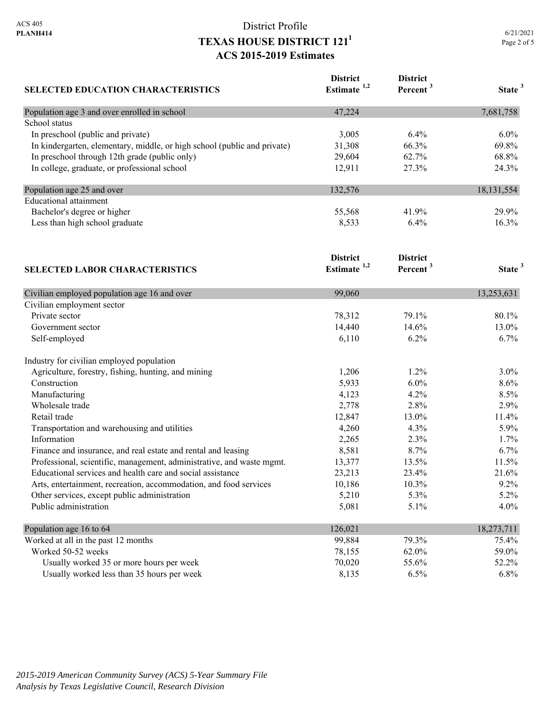| <b>SELECTED EDUCATION CHARACTERISTICS</b>                                | <b>District</b><br>Estimate <sup>1,2</sup> | <b>District</b><br>Percent <sup>3</sup> | State <sup>3</sup> |
|--------------------------------------------------------------------------|--------------------------------------------|-----------------------------------------|--------------------|
| Population age 3 and over enrolled in school                             | 47,224                                     |                                         | 7,681,758          |
| School status                                                            |                                            |                                         |                    |
| In preschool (public and private)                                        | 3,005                                      | 6.4%                                    | 6.0%               |
| In kindergarten, elementary, middle, or high school (public and private) | 31,308                                     | 66.3%                                   | 69.8%              |
| In preschool through 12th grade (public only)                            | 29,604                                     | 62.7%                                   | 68.8%              |
| In college, graduate, or professional school                             | 12,911                                     | 27.3%                                   | 24.3%              |
| Population age 25 and over                                               | 132,576                                    |                                         | 18, 131, 554       |
| <b>Educational attainment</b>                                            |                                            |                                         |                    |
| Bachelor's degree or higher                                              | 55,568                                     | 41.9%                                   | 29.9%              |
| Less than high school graduate                                           | 8,533                                      | 6.4%                                    | 16.3%              |
|                                                                          | <b>District</b><br>Estimate $1,2$          | <b>District</b><br>Percent <sup>3</sup> | State <sup>3</sup> |
| <b>SELECTED LABOR CHARACTERISTICS</b>                                    |                                            |                                         |                    |
| Civilian employed population age 16 and over                             | 99,060                                     |                                         | 13,253,631         |
| Civilian employment sector                                               |                                            |                                         |                    |
| Private sector                                                           | 78,312                                     | 79.1%                                   | 80.1%              |
| Government sector                                                        | 14,440                                     | 14.6%                                   | 13.0%              |
| Self-employed                                                            | 6,110                                      | 6.2%                                    | 6.7%               |
| Industry for civilian employed population                                |                                            |                                         |                    |
| Agriculture, forestry, fishing, hunting, and mining                      | 1,206                                      | 1.2%                                    | 3.0%               |
| Construction                                                             | 5,933                                      | 6.0%                                    | 8.6%               |
| Manufacturing                                                            | 4,123                                      | 4.2%                                    | 8.5%               |
| Wholesale trade                                                          | 2,778                                      | 2.8%                                    | 2.9%               |
| Retail trade                                                             | 12,847                                     | 13.0%                                   | 11.4%              |
| Transportation and warehousing and utilities                             | 4,260                                      | 4.3%                                    | 5.9%               |
| Information                                                              | 2,265                                      | 2.3%                                    | 1.7%               |
| Finance and insurance, and real estate and rental and leasing            | 8,581                                      | 8.7%                                    | 6.7%               |
| Professional, scientific, management, administrative, and waste mgmt.    | 13,377                                     | 13.5%                                   | 11.5%              |
| Educational services and health care and social assistance               | 23,213                                     | 23.4%                                   | 21.6%              |
| Arts, entertainment, recreation, accommodation, and food services        | 10,186                                     | 10.3%                                   | 9.2%               |
| Other services, except public administration                             | 5,210                                      | 5.3%                                    | 5.2%               |
| Public administration                                                    | 5,081                                      | 5.1%                                    | 4.0%               |
| Population age 16 to 64                                                  | 126,021                                    |                                         | 18,273,711         |
| Worked at all in the past 12 months                                      | 99,884                                     | 79.3%                                   | 75.4%              |
| Worked 50-52 weeks                                                       | 78,155                                     | 62.0%                                   | 59.0%              |
| Usually worked 35 or more hours per week                                 | 70,020                                     | 55.6%                                   | 52.2%              |
| Usually worked less than 35 hours per week                               | 8,135                                      | 6.5%                                    | 6.8%               |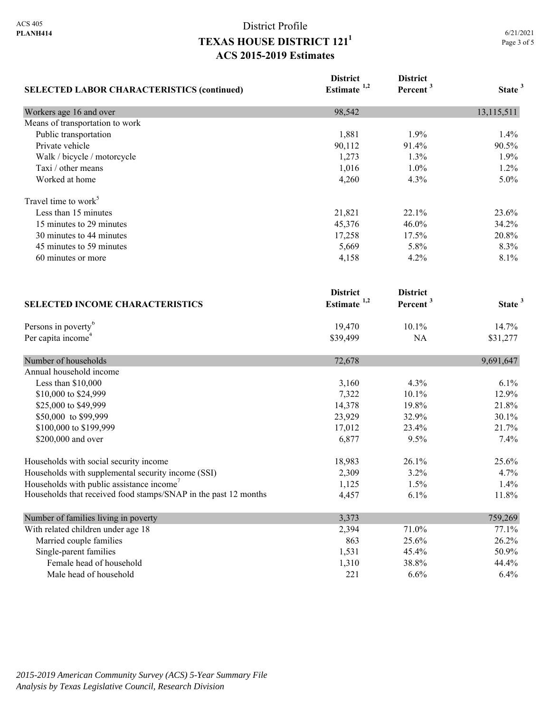| <b>SELECTED LABOR CHARACTERISTICS (continued)</b>               | <b>District</b><br>Estimate $1,2$ | <b>District</b><br>Percent <sup>3</sup> | State <sup>3</sup> |
|-----------------------------------------------------------------|-----------------------------------|-----------------------------------------|--------------------|
|                                                                 |                                   |                                         |                    |
| Means of transportation to work                                 |                                   |                                         |                    |
| Public transportation                                           | 1,881                             | 1.9%                                    | 1.4%               |
| Private vehicle                                                 | 90,112                            | 91.4%                                   | 90.5%              |
| Walk / bicycle / motorcycle                                     | 1,273                             | 1.3%                                    | 1.9%               |
| Taxi / other means                                              | 1,016                             | 1.0%                                    | 1.2%               |
| Worked at home                                                  | 4,260                             | 4.3%                                    | 5.0%               |
| Travel time to work <sup>5</sup>                                |                                   |                                         |                    |
| Less than 15 minutes                                            | 21,821                            | 22.1%                                   | 23.6%              |
| 15 minutes to 29 minutes                                        | 45,376                            | 46.0%                                   | 34.2%              |
| 30 minutes to 44 minutes                                        | 17,258                            | 17.5%                                   | 20.8%              |
| 45 minutes to 59 minutes                                        | 5,669                             | 5.8%                                    | 8.3%               |
| 60 minutes or more                                              | 4,158                             | 4.2%                                    | 8.1%               |
|                                                                 | <b>District</b>                   | <b>District</b>                         |                    |
| <b>SELECTED INCOME CHARACTERISTICS</b>                          | Estimate <sup>1,2</sup>           | Percent <sup>3</sup>                    | State <sup>3</sup> |
| Persons in poverty <sup>6</sup>                                 | 19,470                            | 10.1%                                   | 14.7%              |
| Per capita income <sup>4</sup>                                  | \$39,499                          | NA                                      | \$31,277           |
| Number of households                                            | 72,678                            |                                         | 9,691,647          |
| Annual household income                                         |                                   |                                         |                    |
| Less than \$10,000                                              | 3,160                             | 4.3%                                    | 6.1%               |
| \$10,000 to \$24,999                                            | 7,322                             | 10.1%                                   | 12.9%              |
| \$25,000 to \$49,999                                            | 14,378                            | 19.8%                                   | 21.8%              |
| \$50,000 to \$99,999                                            | 23,929                            | 32.9%                                   | 30.1%              |
| \$100,000 to \$199,999                                          | 17,012                            | 23.4%                                   | 21.7%              |
| \$200,000 and over                                              | 6,877                             | 9.5%                                    | 7.4%               |
| Households with social security income                          | 18,983                            | 26.1%                                   | 25.6%              |
| Households with supplemental security income (SSI)              | 2,309                             | 3.2%                                    | 4.7%               |
| Households with public assistance income'                       | 1,125                             | 1.5%                                    | 1.4%               |
| Households that received food stamps/SNAP in the past 12 months | 4,457                             | 6.1%                                    | 11.8%              |
| Number of families living in poverty                            | 3,373                             |                                         | 759,269            |
| With related children under age 18                              | 2,394                             | 71.0%                                   | 77.1%              |
| Married couple families                                         | 863                               | 25.6%                                   | 26.2%              |
| Single-parent families                                          | 1,531                             | 45.4%                                   | 50.9%              |
| Female head of household                                        | 1,310                             | 38.8%                                   | 44.4%              |
| Male head of household                                          | 221                               | 6.6%                                    | 6.4%               |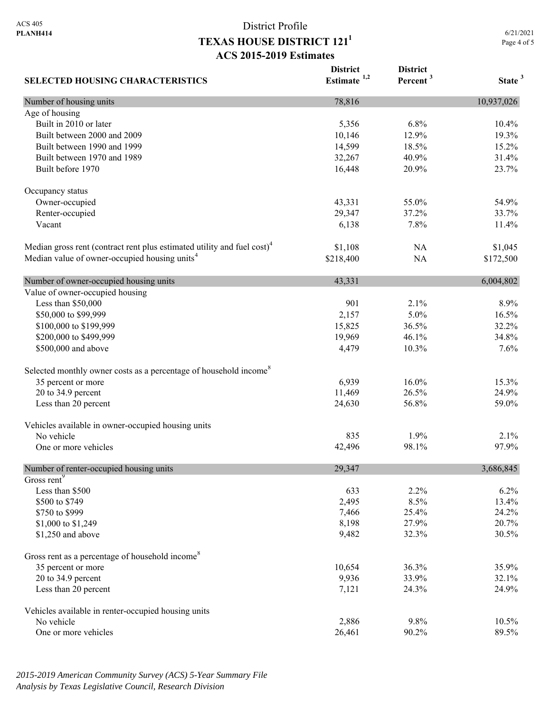**District** 

**District** 

**SELECTED HOUSING CHARACTERISTICS Estimate 1,2 Percent <sup>3</sup> State <sup>3</sup>** Number of housing units 10,937,026 Age of housing Built in 2010 or later 10.4% 10.4% 10.4% 10.4% 10.4% 10.4% 10.4% 10.4% 10.4% 10.4% 10.5 m Built between 2000 and 2009 10,146 12.9% 19.3% 19.3% Built between 1990 and 1999 14,599 18.5% 15.2% Built between 1970 and 1989 32,267 40.9% 31.4% Built before 1970 23.7% 23.7% Occupancy status Owner-occupied 54.9% 55.0% 54.9% Renter-occupied 29,347 37.2% 33.7% Vacant 11.4% 11.4% 12.8% 12.8% 12.8% 12.8% 12.8% 12.8% 12.8% 12.8% 12.8% 12.8% 12.8% 12.8% 12.8% 12.8% 12.8% 1 Median gross rent (contract rent plus estimated utility and fuel cost)<sup>4</sup> \$1,108 NA \$1,045 Median value of owner-occupied housing units<sup>4</sup> \$218,400 NA \$172,500 Number of owner-occupied housing units  $43,331$  6,004,802 Value of owner-occupied housing Less than  $$50,000$  8.9% 8.9% \$50,000 to \$99,999 2,157 5.0% 16.5% \$100,000 to \$199,999 15,825 36.5% 32.2% \$200,000 to \$499,999 19,969 19,969 46.1% 34.8% \$500,000 and above  $4.479$   $10.3\%$   $7.6\%$ Selected monthly owner costs as a percentage of household income<sup>8</sup> 35 percent or more 15.3% 16.0% 15.3% 20 to 34.9 percent 24.9% 24.9% 24.9% 26.5% 24.9% Less than 20 percent 59.0% 56.8% 59.0% 56.8% 59.0% Vehicles available in owner-occupied housing units No vehicle  $835$   $1.9\%$   $2.1\%$ One or more vehicles 97.9% 97.9% 97.9% Number of renter-occupied housing units 29,347 3,686,845 Gross rent<sup>9</sup> Less than \$500 633 2.2% 6.2% \$500 to \$749 2,495 8.5% 13.4%  $$750 \text{ to } $999$  24.2% 24.2% \$1,000 to \$1,249 8,198 8,198 27.9% 20.7% \$1,250 and above 30.5% 30.5% 30.5% 30.5% 30.5% 30.5% 30.5% 30.5% 30.5% 30.5% 30.5% 30.5% 30.5% 30.5% 30.5% 30.5% 30.5% 30.5% 30.5% 30.5% 30.5% 30.5% 30.5% 30.5% 30.5% 30.5% 30.5% 30.5% 30.5% 30.5% 30.5% 30.5% 30.5% 30.5% 3 Gross rent as a percentage of household income<sup>8</sup> 35 percent or more 35.9% 35.9% 20 to 34.9 percent 32.1% 32.1% Less than 20 percent 24.9% 24.9% 24.9% 24.9% 25.00 26.00 26.00 26.00 26.00 26.00 26.00 26.00 26.00 26.00 26.00 26.00 26.00 26.00 26.00 26.00 26.00 26.00 26.00 26.00 26.00 26.00 26.00 26.00 26.00 26.00 26.00 26.00 26.00 26. Vehicles available in renter-occupied housing units No vehicle 2,886 9.8% 10.5% One or more vehicles 89.5% 89.5%